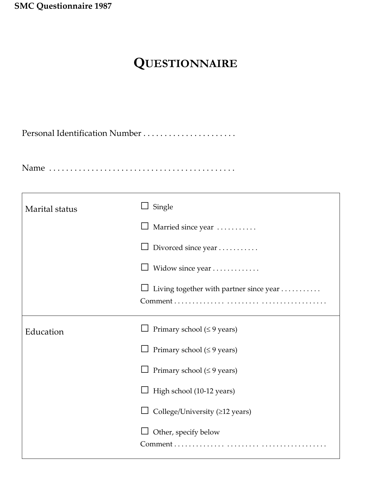**SMC Questionnaire 1987**

## **QUESTIONNAIRE**

Personal Identification Number . . . . . . . . . . . . . . . . . . . . . .

Name . . . . . . . . . . . . . . . . . . . . . . . . . . . . . . . . . . . . . . . . . . . .

| Marital status | Single                                  |  |  |  |  |
|----------------|-----------------------------------------|--|--|--|--|
|                | Married since year                      |  |  |  |  |
|                | Divorced since year                     |  |  |  |  |
|                | Widow since year                        |  |  |  |  |
|                | Living together with partner since year |  |  |  |  |
| Education      | Primary school ( $\leq$ 9 years)        |  |  |  |  |
|                | Primary school ( $\leq$ 9 years)        |  |  |  |  |
|                | Primary school ( $\leq$ 9 years)        |  |  |  |  |
|                | High school (10-12 years)               |  |  |  |  |
|                | College/University (≥12 years)          |  |  |  |  |
|                | Other, specify below                    |  |  |  |  |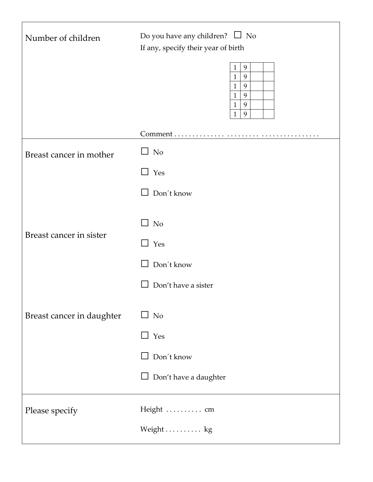| Number of children        | Do you have any children? $\Box$ No<br>If any, specify their year of birth                                                                |  |  |  |  |  |
|---------------------------|-------------------------------------------------------------------------------------------------------------------------------------------|--|--|--|--|--|
|                           | 9<br>$\mathbf{1}$<br>$\mathbf{1}$<br>9<br>9<br>$\mathbf{1}$<br>$\mathbf{1}$<br>$\boldsymbol{9}$<br>9<br>$\mathbf{1}$<br>9<br>$\mathbf{1}$ |  |  |  |  |  |
|                           | Comment                                                                                                                                   |  |  |  |  |  |
| Breast cancer in mother   | $\Box$ No                                                                                                                                 |  |  |  |  |  |
|                           | Yes                                                                                                                                       |  |  |  |  |  |
|                           | Don't know                                                                                                                                |  |  |  |  |  |
| Breast cancer in sister   | N <sub>o</sub>                                                                                                                            |  |  |  |  |  |
|                           | Yes<br>$\blacksquare$                                                                                                                     |  |  |  |  |  |
|                           | Don't know                                                                                                                                |  |  |  |  |  |
|                           | Don't have a sister                                                                                                                       |  |  |  |  |  |
| Breast cancer in daughter | N <sub>o</sub>                                                                                                                            |  |  |  |  |  |
|                           | Yes<br>$\tilde{1}$                                                                                                                        |  |  |  |  |  |
|                           | Don't know                                                                                                                                |  |  |  |  |  |
|                           | Don't have a daughter                                                                                                                     |  |  |  |  |  |
| Please specify            | Height  cm                                                                                                                                |  |  |  |  |  |
|                           | Weight kg                                                                                                                                 |  |  |  |  |  |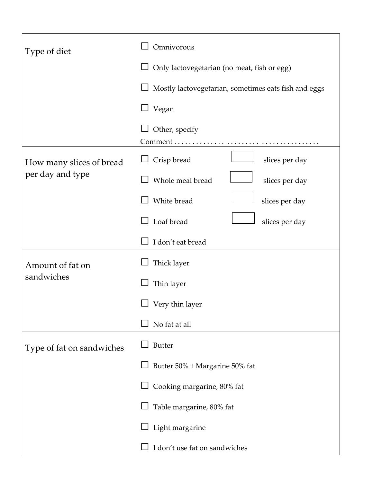| Type of diet                   | Omnivorous                                           |  |  |  |  |  |
|--------------------------------|------------------------------------------------------|--|--|--|--|--|
|                                | Only lactovegetarian (no meat, fish or egg)          |  |  |  |  |  |
|                                | Mostly lactovegetarian, sometimes eats fish and eggs |  |  |  |  |  |
|                                | Vegan                                                |  |  |  |  |  |
|                                | Other, specify<br>Comment                            |  |  |  |  |  |
| How many slices of bread       | Crisp bread<br>slices per day                        |  |  |  |  |  |
| per day and type               | Whole meal bread<br>slices per day                   |  |  |  |  |  |
|                                | White bread<br>slices per day                        |  |  |  |  |  |
|                                | Loaf bread<br>slices per day                         |  |  |  |  |  |
|                                | I don't eat bread                                    |  |  |  |  |  |
| Amount of fat on<br>sandwiches | Thick layer                                          |  |  |  |  |  |
|                                | Thin layer                                           |  |  |  |  |  |
|                                | Very thin layer                                      |  |  |  |  |  |
|                                | No fat at all                                        |  |  |  |  |  |
| Type of fat on sandwiches      | <b>Butter</b>                                        |  |  |  |  |  |
|                                | Butter 50% + Margarine 50% fat                       |  |  |  |  |  |
|                                | Cooking margarine, 80% fat                           |  |  |  |  |  |
|                                | Table margarine, 80% fat                             |  |  |  |  |  |
| Light margarine                |                                                      |  |  |  |  |  |
|                                | I don't use fat on sandwiches                        |  |  |  |  |  |

┑

Г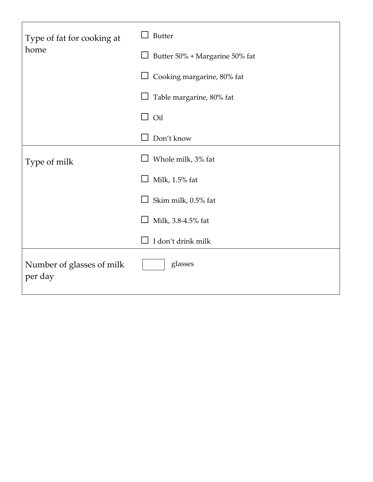| Type of fat for cooking at<br>home   | <b>Butter</b>                  |  |  |  |  |  |
|--------------------------------------|--------------------------------|--|--|--|--|--|
|                                      | Butter 50% + Margarine 50% fat |  |  |  |  |  |
|                                      | Cooking margarine, 80% fat     |  |  |  |  |  |
|                                      | Table margarine, 80% fat       |  |  |  |  |  |
|                                      | Oil<br>$\blacksquare$          |  |  |  |  |  |
|                                      | Don't know                     |  |  |  |  |  |
| Type of milk                         | Whole milk, 3% fat             |  |  |  |  |  |
|                                      | Milk, 1.5% fat                 |  |  |  |  |  |
|                                      | Skim milk, 0.5% fat            |  |  |  |  |  |
|                                      | Milk, 3.8-4.5% fat             |  |  |  |  |  |
|                                      | I don't drink milk             |  |  |  |  |  |
| Number of glasses of milk<br>per day | glasses                        |  |  |  |  |  |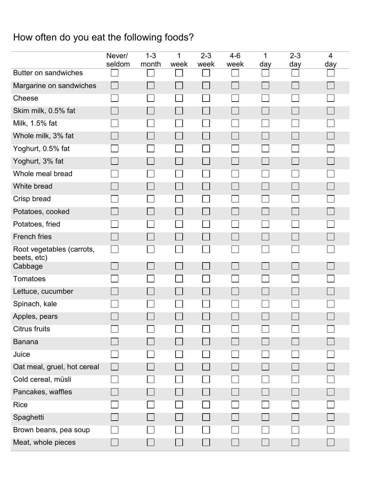## How often do you eat the following foods?

|                                          | Never/<br>seldom | $1 - 3$<br>month | 1<br>week | $2 - 3$<br>week | $4-6$<br>week | 1<br>day | $2 - 3$<br>day | 4<br>day |
|------------------------------------------|------------------|------------------|-----------|-----------------|---------------|----------|----------------|----------|
| Butter on sandwiches                     |                  |                  |           |                 |               |          |                |          |
| Margarine on sandwiches                  |                  |                  |           |                 |               |          |                |          |
| Cheese                                   |                  |                  |           | l.              |               |          |                |          |
| Skim milk, 0.5% fat                      |                  |                  |           |                 |               |          |                |          |
| Milk, 1.5% fat                           |                  |                  |           |                 |               |          |                |          |
| Whole milk, 3% fat                       |                  |                  |           |                 |               |          |                |          |
| Yoghurt, 0.5% fat                        |                  |                  |           |                 |               |          |                |          |
| Yoghurt, 3% fat                          |                  |                  |           |                 |               |          |                |          |
| Whole meal bread                         |                  |                  |           |                 |               |          |                |          |
| White bread                              |                  |                  |           |                 |               |          |                |          |
| Crisp bread                              |                  |                  |           |                 |               |          |                |          |
| Potatoes, cooked                         |                  |                  |           |                 |               |          |                |          |
| Potatoes, fried                          |                  |                  |           |                 |               |          |                |          |
| <b>French fries</b>                      |                  |                  |           |                 |               |          |                |          |
| Root vegetables (carrots,<br>beets, etc) |                  |                  |           |                 |               |          |                |          |
| Cabbage                                  |                  |                  |           |                 |               |          |                |          |
| Tomatoes                                 |                  |                  |           |                 |               |          |                |          |
| Lettuce, cucumber                        |                  |                  |           |                 |               |          |                |          |
| Spinach, kale                            |                  |                  |           |                 |               |          |                |          |
| Apples, pears                            |                  |                  |           |                 |               |          |                |          |
| <b>Citrus fruits</b>                     |                  |                  |           |                 |               |          |                |          |
| <b>Banana</b>                            |                  |                  |           |                 |               |          |                |          |
| Juice                                    |                  |                  |           |                 |               |          |                |          |
| Oat meal, gruel, hot cereal              |                  |                  |           |                 |               |          |                |          |
| Cold cereal, müsli                       |                  |                  |           |                 |               |          |                |          |
| Pancakes, waffles                        |                  |                  |           |                 |               |          |                |          |
| <b>Rice</b>                              |                  |                  |           |                 |               |          |                |          |
| Spaghetti                                |                  |                  |           |                 |               |          |                |          |
| Brown beans, pea soup                    |                  |                  |           |                 |               |          |                |          |
| Meat, whole pieces                       |                  |                  |           |                 |               |          |                |          |